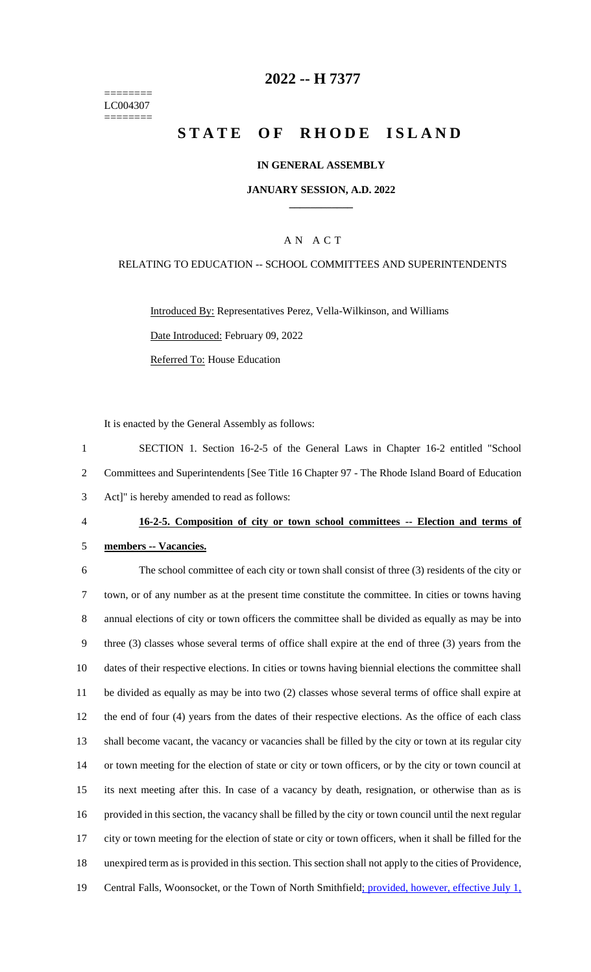======== LC004307 ========

## **2022 -- H 7377**

# **STATE OF RHODE ISLAND**

#### **IN GENERAL ASSEMBLY**

#### **JANUARY SESSION, A.D. 2022 \_\_\_\_\_\_\_\_\_\_\_\_**

#### A N A C T

#### RELATING TO EDUCATION -- SCHOOL COMMITTEES AND SUPERINTENDENTS

Introduced By: Representatives Perez, Vella-Wilkinson, and Williams Date Introduced: February 09, 2022 Referred To: House Education

It is enacted by the General Assembly as follows:

1 SECTION 1. Section 16-2-5 of the General Laws in Chapter 16-2 entitled "School 2 Committees and Superintendents [See Title 16 Chapter 97 - The Rhode Island Board of Education 3 Act]" is hereby amended to read as follows:

#### 4 **16-2-5. Composition of city or town school committees -- Election and terms of**

#### 5 **members -- Vacancies.**

 The school committee of each city or town shall consist of three (3) residents of the city or town, or of any number as at the present time constitute the committee. In cities or towns having annual elections of city or town officers the committee shall be divided as equally as may be into three (3) classes whose several terms of office shall expire at the end of three (3) years from the dates of their respective elections. In cities or towns having biennial elections the committee shall be divided as equally as may be into two (2) classes whose several terms of office shall expire at the end of four (4) years from the dates of their respective elections. As the office of each class shall become vacant, the vacancy or vacancies shall be filled by the city or town at its regular city or town meeting for the election of state or city or town officers, or by the city or town council at its next meeting after this. In case of a vacancy by death, resignation, or otherwise than as is provided in this section, the vacancy shall be filled by the city or town council until the next regular city or town meeting for the election of state or city or town officers, when it shall be filled for the unexpired term as is provided in this section. This section shall not apply to the cities of Providence, 19 Central Falls, Woonsocket, or the Town of North Smithfield; provided, however, effective July 1,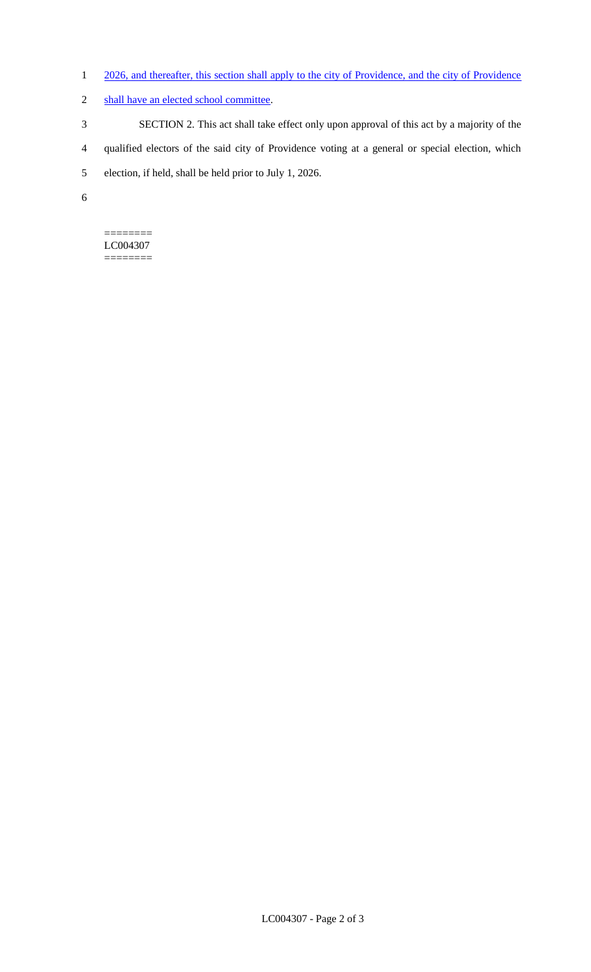- 1 2026, and thereafter, this section shall apply to the city of Providence, and the city of Providence
- 2 shall have an elected school committee.
- 3 SECTION 2. This act shall take effect only upon approval of this act by a majority of the
- 4 qualified electors of the said city of Providence voting at a general or special election, which
- 5 election, if held, shall be held prior to July 1, 2026.
- 6

#### ======== LC004307

========